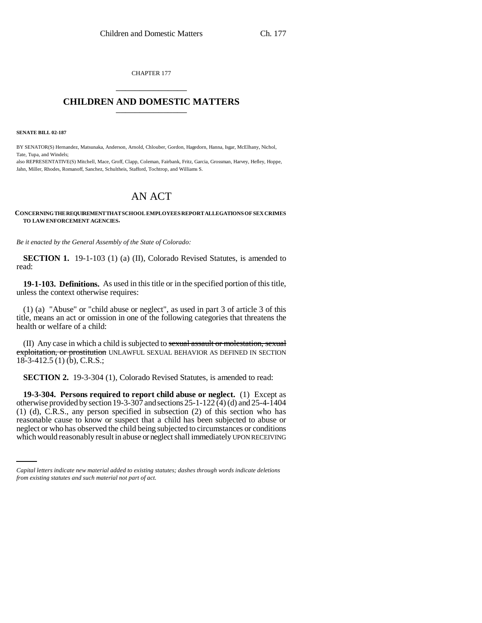CHAPTER 177 \_\_\_\_\_\_\_\_\_\_\_\_\_\_\_

## **CHILDREN AND DOMESTIC MATTERS** \_\_\_\_\_\_\_\_\_\_\_\_\_\_\_

**SENATE BILL 02-187**

BY SENATOR(S) Hernandez, Matsunaka, Anderson, Arnold, Chlouber, Gordon, Hagedorn, Hanna, Isgar, McElhany, Nichol, Tate, Tupa, and Windels;

also REPRESENTATIVE(S) Mitchell, Mace, Groff, Clapp, Coleman, Fairbank, Fritz, Garcia, Grossman, Harvey, Hefley, Hoppe, Jahn, Miller, Rhodes, Romanoff, Sanchez, Schultheis, Stafford, Tochtrop, and Williams S.

## AN ACT

## **CONCERNING THE REQUIREMENT THAT SCHOOL EMPLOYEES REPORT ALLEGATIONS OF SEX CRIMES TO LAW ENFORCEMENT AGENCIES.**

*Be it enacted by the General Assembly of the State of Colorado:*

**SECTION 1.** 19-1-103 (1) (a) (II), Colorado Revised Statutes, is amended to read:

**19-1-103. Definitions.** As used in this title or in the specified portion of this title, unless the context otherwise requires:

(1) (a) "Abuse" or "child abuse or neglect", as used in part 3 of article 3 of this title, means an act or omission in one of the following categories that threatens the health or welfare of a child:

(II) Any case in which a child is subjected to sexual assault or molestation, sexual exploitation, or prostitution UNLAWFUL SEXUAL BEHAVIOR AS DEFINED IN SECTION 18-3-412.5 (1) (b), C.R.S.;

**SECTION 2.** 19-3-304 (1), Colorado Revised Statutes, is amended to read:

reasonable cause to know or suspect that a child has been subjected to abuse or **19-3-304. Persons required to report child abuse or neglect.** (1) Except as otherwise provided by section 19-3-307 and sections 25-1-122  $\overline{(4)}$  (d) and 25-4-1404 (1) (d), C.R.S., any person specified in subsection (2) of this section who has neglect or who has observed the child being subjected to circumstances or conditions which would reasonably result in abuse or neglect shall immediately UPON RECEIVING

*Capital letters indicate new material added to existing statutes; dashes through words indicate deletions from existing statutes and such material not part of act.*